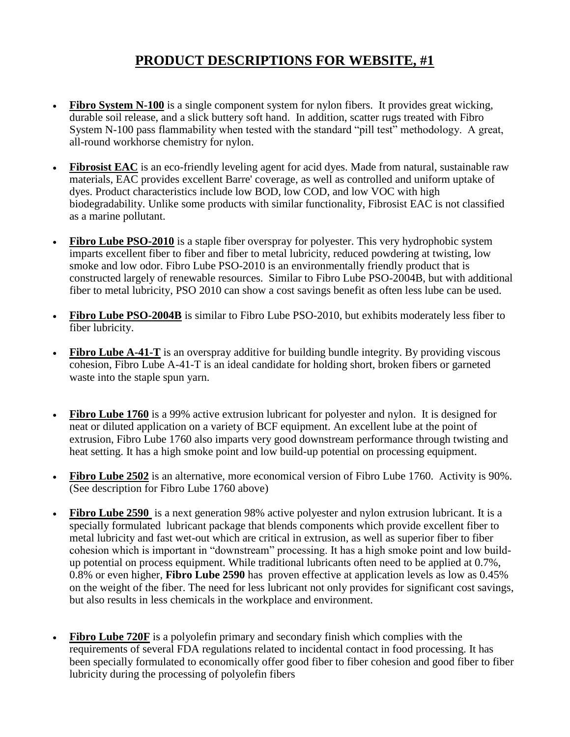## **PRODUCT DESCRIPTIONS FOR WEBSITE, #1**

- **Fibro System N-100** is a single component system for nylon fibers. It provides great wicking, durable soil release, and a slick buttery soft hand. In addition, scatter rugs treated with Fibro System N-100 pass flammability when tested with the standard "pill test" methodology. A great, all-round workhorse chemistry for nylon.
- **Fibrosist EAC** is an eco-friendly leveling agent for acid dyes. Made from natural, sustainable raw materials, EAC provides excellent Barre' coverage, as well as controlled and uniform uptake of dyes. Product characteristics include low BOD, low COD, and low VOC with high biodegradability. Unlike some products with similar functionality, Fibrosist EAC is not classified as a marine pollutant.
- Fibro Lube PSO-2010 is a staple fiber overspray for polyester. This very hydrophobic system imparts excellent fiber to fiber and fiber to metal lubricity, reduced powdering at twisting, low smoke and low odor. Fibro Lube PSO-2010 is an environmentally friendly product that is constructed largely of renewable resources. Similar to Fibro Lube PSO-2004B, but with additional fiber to metal lubricity, PSO 2010 can show a cost savings benefit as often less lube can be used.
- Fibro Lube PSO-2004B is similar to Fibro Lube PSO-2010, but exhibits moderately less fiber to fiber lubricity.
- **Fibro Lube A-41-T** is an overspray additive for building bundle integrity. By providing viscous cohesion, Fibro Lube A-41-T is an ideal candidate for holding short, broken fibers or garneted waste into the staple spun yarn.
- **Fibro Lube 1760** is a 99% active extrusion lubricant for polyester and nylon. It is designed for neat or diluted application on a variety of BCF equipment. An excellent lube at the point of extrusion, Fibro Lube 1760 also imparts very good downstream performance through twisting and heat setting. It has a high smoke point and low build-up potential on processing equipment.
- **Fibro Lube 2502** is an alternative, more economical version of Fibro Lube 1760. Activity is 90%. (See description for Fibro Lube 1760 above)
- **Fibro Lube 2590** is a next generation 98% active polyester and nylon extrusion lubricant. It is a specially formulated lubricant package that blends components which provide excellent fiber to metal lubricity and fast wet-out which are critical in extrusion, as well as superior fiber to fiber cohesion which is important in "downstream" processing. It has a high smoke point and low buildup potential on process equipment. While traditional lubricants often need to be applied at 0.7%, 0.8% or even higher, **Fibro Lube 2590** has proven effective at application levels as low as 0.45% on the weight of the fiber. The need for less lubricant not only provides for significant cost savings, but also results in less chemicals in the workplace and environment.
- **Fibro Lube 720F** is a polyoletin primary and secondary finish which complies with the requirements of several FDA regulations related to incidental contact in food processing. It has been specially formulated to economically offer good fiber to fiber cohesion and good fiber to fiber lubricity during the processing of polyolefin fibers